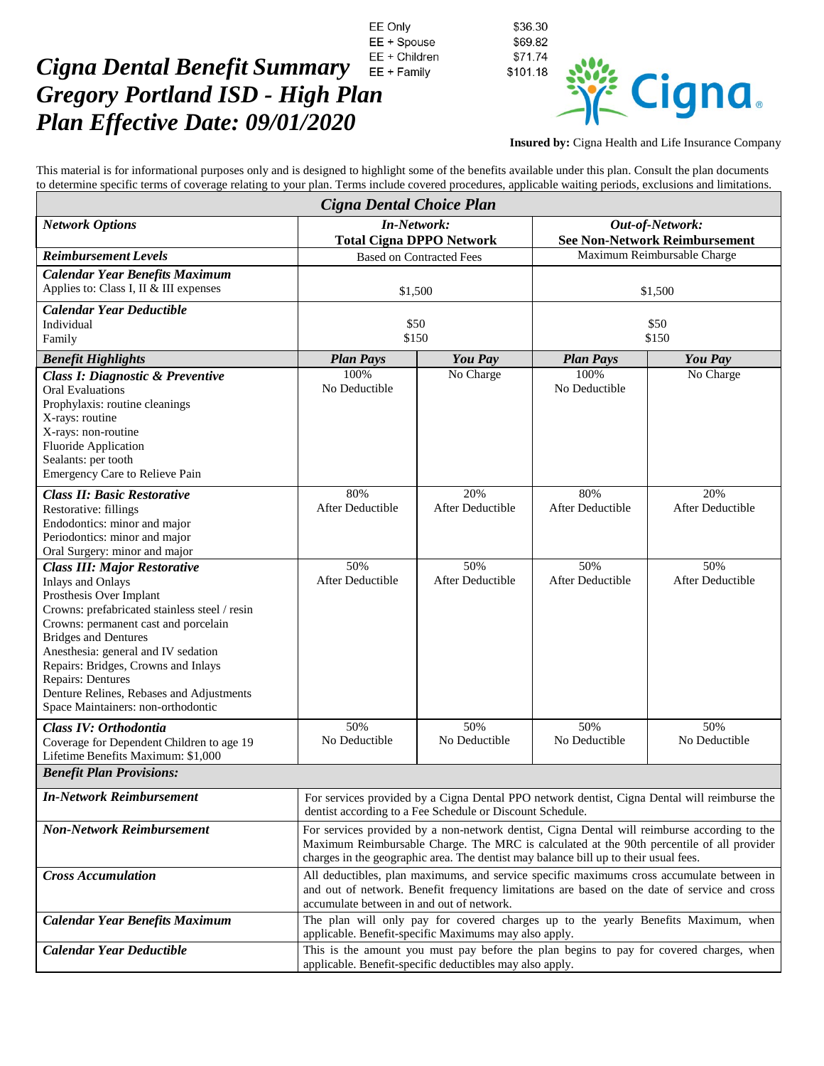## EE + Children *Cigna Dental Benefit Summary*  EE + Family *Gregory Portland ISD - High Plan Plan Effective Date: 09/01/2020*



**Insured by:** Cigna Health and Life Insurance Company

This material is for informational purposes only and is designed to highlight some of the benefits available under this plan. Consult the plan documents to determine specific terms of coverage relating to your plan. Terms include covered procedures, applicable waiting periods, exclusions and limitations.

EE Only

EE + Spouse

| Cigna Dental Choice Plan                                                                                                                                                                                                                                                                                                                                                                                |                                                                                                                                                                                                                                                                                   |                                |                                                         |                                |  |
|---------------------------------------------------------------------------------------------------------------------------------------------------------------------------------------------------------------------------------------------------------------------------------------------------------------------------------------------------------------------------------------------------------|-----------------------------------------------------------------------------------------------------------------------------------------------------------------------------------------------------------------------------------------------------------------------------------|--------------------------------|---------------------------------------------------------|--------------------------------|--|
| <b>Network Options</b>                                                                                                                                                                                                                                                                                                                                                                                  | <b>In-Network:</b><br><b>Total Cigna DPPO Network</b>                                                                                                                                                                                                                             |                                | Out-of-Network:<br><b>See Non-Network Reimbursement</b> |                                |  |
| <b>Reimbursement Levels</b>                                                                                                                                                                                                                                                                                                                                                                             | <b>Based on Contracted Fees</b>                                                                                                                                                                                                                                                   |                                | Maximum Reimbursable Charge                             |                                |  |
| <b>Calendar Year Benefits Maximum</b><br>Applies to: Class I, II & III expenses                                                                                                                                                                                                                                                                                                                         | \$1,500                                                                                                                                                                                                                                                                           |                                | \$1,500                                                 |                                |  |
| <b>Calendar Year Deductible</b><br>Individual<br>Family                                                                                                                                                                                                                                                                                                                                                 | \$50<br>\$150                                                                                                                                                                                                                                                                     |                                | \$50<br>\$150                                           |                                |  |
| <b>Benefit Highlights</b>                                                                                                                                                                                                                                                                                                                                                                               | <b>Plan Pays</b>                                                                                                                                                                                                                                                                  | <b>You Pay</b>                 | <b>Plan Pays</b>                                        | You Pay                        |  |
| <b>Class I: Diagnostic &amp; Preventive</b><br><b>Oral Evaluations</b><br>Prophylaxis: routine cleanings<br>X-rays: routine<br>X-rays: non-routine<br><b>Fluoride Application</b><br>Sealants: per tooth<br>Emergency Care to Relieve Pain                                                                                                                                                              | 100%<br>No Deductible                                                                                                                                                                                                                                                             | No Charge                      | 100%<br>No Deductible                                   | No Charge                      |  |
| <b>Class II: Basic Restorative</b><br>Restorative: fillings<br>Endodontics: minor and major<br>Periodontics: minor and major<br>Oral Surgery: minor and major                                                                                                                                                                                                                                           | 80%<br>After Deductible                                                                                                                                                                                                                                                           | 20%<br><b>After Deductible</b> | 80%<br>After Deductible                                 | 20%<br><b>After Deductible</b> |  |
| <b>Class III: Major Restorative</b><br><b>Inlays and Onlays</b><br>Prosthesis Over Implant<br>Crowns: prefabricated stainless steel / resin<br>Crowns: permanent cast and porcelain<br><b>Bridges and Dentures</b><br>Anesthesia: general and IV sedation<br>Repairs: Bridges, Crowns and Inlays<br>Repairs: Dentures<br>Denture Relines, Rebases and Adjustments<br>Space Maintainers: non-orthodontic | 50%<br>After Deductible                                                                                                                                                                                                                                                           | 50%<br>After Deductible        | 50%<br>After Deductible                                 | 50%<br><b>After Deductible</b> |  |
| Class IV: Orthodontia<br>Coverage for Dependent Children to age 19<br>Lifetime Benefits Maximum: \$1,000                                                                                                                                                                                                                                                                                                | 50%<br>No Deductible                                                                                                                                                                                                                                                              | 50%<br>No Deductible           | 50%<br>No Deductible                                    | 50%<br>No Deductible           |  |
| <b>Benefit Plan Provisions:</b>                                                                                                                                                                                                                                                                                                                                                                         |                                                                                                                                                                                                                                                                                   |                                |                                                         |                                |  |
| <b>In-Network Reimbursement</b>                                                                                                                                                                                                                                                                                                                                                                         | For services provided by a Cigna Dental PPO network dentist, Cigna Dental will reimburse the<br>dentist according to a Fee Schedule or Discount Schedule.                                                                                                                         |                                |                                                         |                                |  |
| <b>Non-Network Reimbursement</b>                                                                                                                                                                                                                                                                                                                                                                        | For services provided by a non-network dentist, Cigna Dental will reimburse according to the<br>Maximum Reimbursable Charge. The MRC is calculated at the 90th percentile of all provider<br>charges in the geographic area. The dentist may balance bill up to their usual fees. |                                |                                                         |                                |  |
| <b>Cross Accumulation</b>                                                                                                                                                                                                                                                                                                                                                                               | All deductibles, plan maximums, and service specific maximums cross accumulate between in<br>and out of network. Benefit frequency limitations are based on the date of service and cross<br>accumulate between in and out of network.                                            |                                |                                                         |                                |  |
| <b>Calendar Year Benefits Maximum</b>                                                                                                                                                                                                                                                                                                                                                                   | The plan will only pay for covered charges up to the yearly Benefits Maximum, when<br>applicable. Benefit-specific Maximums may also apply.                                                                                                                                       |                                |                                                         |                                |  |
| <b>Calendar Year Deductible</b>                                                                                                                                                                                                                                                                                                                                                                         | This is the amount you must pay before the plan begins to pay for covered charges, when<br>applicable. Benefit-specific deductibles may also apply.                                                                                                                               |                                |                                                         |                                |  |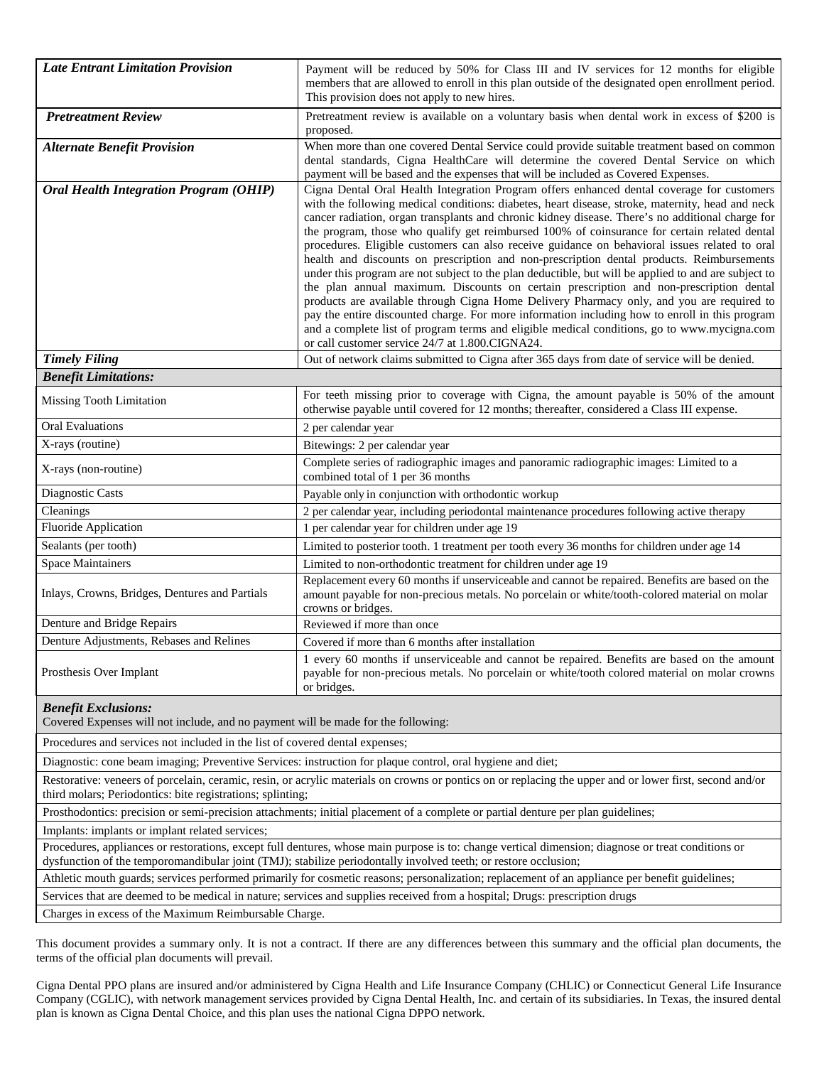| <b>Late Entrant Limitation Provision</b>       | Payment will be reduced by 50% for Class III and IV services for 12 months for eligible<br>members that are allowed to enroll in this plan outside of the designated open enrollment period.<br>This provision does not apply to new hires.                                                                                                                                                                                                                                                                                                                                                                                                                                                                                                                                                                                                                                                                                                                                                                                                                                                                                                         |  |  |
|------------------------------------------------|-----------------------------------------------------------------------------------------------------------------------------------------------------------------------------------------------------------------------------------------------------------------------------------------------------------------------------------------------------------------------------------------------------------------------------------------------------------------------------------------------------------------------------------------------------------------------------------------------------------------------------------------------------------------------------------------------------------------------------------------------------------------------------------------------------------------------------------------------------------------------------------------------------------------------------------------------------------------------------------------------------------------------------------------------------------------------------------------------------------------------------------------------------|--|--|
| <b>Pretreatment Review</b>                     | Pretreatment review is available on a voluntary basis when dental work in excess of \$200 is<br>proposed.                                                                                                                                                                                                                                                                                                                                                                                                                                                                                                                                                                                                                                                                                                                                                                                                                                                                                                                                                                                                                                           |  |  |
| <b>Alternate Benefit Provision</b>             | When more than one covered Dental Service could provide suitable treatment based on common<br>dental standards, Cigna HealthCare will determine the covered Dental Service on which<br>payment will be based and the expenses that will be included as Covered Expenses.                                                                                                                                                                                                                                                                                                                                                                                                                                                                                                                                                                                                                                                                                                                                                                                                                                                                            |  |  |
| <b>Oral Health Integration Program (OHIP)</b>  | Cigna Dental Oral Health Integration Program offers enhanced dental coverage for customers<br>with the following medical conditions: diabetes, heart disease, stroke, maternity, head and neck<br>cancer radiation, organ transplants and chronic kidney disease. There's no additional charge for<br>the program, those who qualify get reimbursed 100% of coinsurance for certain related dental<br>procedures. Eligible customers can also receive guidance on behavioral issues related to oral<br>health and discounts on prescription and non-prescription dental products. Reimbursements<br>under this program are not subject to the plan deductible, but will be applied to and are subject to<br>the plan annual maximum. Discounts on certain prescription and non-prescription dental<br>products are available through Cigna Home Delivery Pharmacy only, and you are required to<br>pay the entire discounted charge. For more information including how to enroll in this program<br>and a complete list of program terms and eligible medical conditions, go to www.mycigna.com<br>or call customer service 24/7 at 1.800.CIGNA24. |  |  |
| <b>Timely Filing</b>                           | Out of network claims submitted to Cigna after 365 days from date of service will be denied.                                                                                                                                                                                                                                                                                                                                                                                                                                                                                                                                                                                                                                                                                                                                                                                                                                                                                                                                                                                                                                                        |  |  |
| <b>Benefit Limitations:</b>                    |                                                                                                                                                                                                                                                                                                                                                                                                                                                                                                                                                                                                                                                                                                                                                                                                                                                                                                                                                                                                                                                                                                                                                     |  |  |
| Missing Tooth Limitation                       | For teeth missing prior to coverage with Cigna, the amount payable is 50% of the amount<br>otherwise payable until covered for 12 months; thereafter, considered a Class III expense.                                                                                                                                                                                                                                                                                                                                                                                                                                                                                                                                                                                                                                                                                                                                                                                                                                                                                                                                                               |  |  |
| <b>Oral Evaluations</b>                        | 2 per calendar year                                                                                                                                                                                                                                                                                                                                                                                                                                                                                                                                                                                                                                                                                                                                                                                                                                                                                                                                                                                                                                                                                                                                 |  |  |
| X-rays (routine)                               | Bitewings: 2 per calendar year                                                                                                                                                                                                                                                                                                                                                                                                                                                                                                                                                                                                                                                                                                                                                                                                                                                                                                                                                                                                                                                                                                                      |  |  |
| X-rays (non-routine)                           | Complete series of radiographic images and panoramic radiographic images: Limited to a<br>combined total of 1 per 36 months                                                                                                                                                                                                                                                                                                                                                                                                                                                                                                                                                                                                                                                                                                                                                                                                                                                                                                                                                                                                                         |  |  |
| Diagnostic Casts                               | Payable only in conjunction with orthodontic workup                                                                                                                                                                                                                                                                                                                                                                                                                                                                                                                                                                                                                                                                                                                                                                                                                                                                                                                                                                                                                                                                                                 |  |  |
| Cleanings                                      | 2 per calendar year, including periodontal maintenance procedures following active therapy                                                                                                                                                                                                                                                                                                                                                                                                                                                                                                                                                                                                                                                                                                                                                                                                                                                                                                                                                                                                                                                          |  |  |
| Fluoride Application                           | 1 per calendar year for children under age 19                                                                                                                                                                                                                                                                                                                                                                                                                                                                                                                                                                                                                                                                                                                                                                                                                                                                                                                                                                                                                                                                                                       |  |  |
| Sealants (per tooth)                           | Limited to posterior tooth. 1 treatment per tooth every 36 months for children under age 14                                                                                                                                                                                                                                                                                                                                                                                                                                                                                                                                                                                                                                                                                                                                                                                                                                                                                                                                                                                                                                                         |  |  |
| <b>Space Maintainers</b>                       | Limited to non-orthodontic treatment for children under age 19                                                                                                                                                                                                                                                                                                                                                                                                                                                                                                                                                                                                                                                                                                                                                                                                                                                                                                                                                                                                                                                                                      |  |  |
| Inlays, Crowns, Bridges, Dentures and Partials | Replacement every 60 months if unserviceable and cannot be repaired. Benefits are based on the<br>amount payable for non-precious metals. No porcelain or white/tooth-colored material on molar<br>crowns or bridges.                                                                                                                                                                                                                                                                                                                                                                                                                                                                                                                                                                                                                                                                                                                                                                                                                                                                                                                               |  |  |
| Denture and Bridge Repairs                     | Reviewed if more than once                                                                                                                                                                                                                                                                                                                                                                                                                                                                                                                                                                                                                                                                                                                                                                                                                                                                                                                                                                                                                                                                                                                          |  |  |
| Denture Adjustments, Rebases and Relines       | Covered if more than 6 months after installation                                                                                                                                                                                                                                                                                                                                                                                                                                                                                                                                                                                                                                                                                                                                                                                                                                                                                                                                                                                                                                                                                                    |  |  |
| Prosthesis Over Implant                        | 1 every 60 months if unserviceable and cannot be repaired. Benefits are based on the amount<br>payable for non-precious metals. No porcelain or white/tooth colored material on molar crowns<br>or bridges.                                                                                                                                                                                                                                                                                                                                                                                                                                                                                                                                                                                                                                                                                                                                                                                                                                                                                                                                         |  |  |
| <b>Benefit Exclusions:</b>                     |                                                                                                                                                                                                                                                                                                                                                                                                                                                                                                                                                                                                                                                                                                                                                                                                                                                                                                                                                                                                                                                                                                                                                     |  |  |

Covered Expenses will not include, and no payment will be made for the following:

Procedures and services not included in the list of covered dental expenses;

Diagnostic: cone beam imaging; Preventive Services: instruction for plaque control, oral hygiene and diet;

Restorative: veneers of porcelain, ceramic, resin, or acrylic materials on crowns or pontics on or replacing the upper and or lower first, second and/or third molars; Periodontics: bite registrations; splinting;

Prosthodontics: precision or semi-precision attachments; initial placement of a complete or partial denture per plan guidelines;

Implants: implants or implant related services;

Procedures, appliances or restorations, except full dentures, whose main purpose is to: change vertical dimension; diagnose or treat conditions or dysfunction of the temporomandibular joint (TMJ); stabilize periodontally involved teeth; or restore occlusion;

Athletic mouth guards; services performed primarily for cosmetic reasons; personalization; replacement of an appliance per benefit guidelines;

Services that are deemed to be medical in nature; services and supplies received from a hospital; Drugs: prescription drugs

Charges in excess of the Maximum Reimbursable Charge.

This document provides a summary only. It is not a contract. If there are any differences between this summary and the official plan documents, the terms of the official plan documents will prevail.

Cigna Dental PPO plans are insured and/or administered by Cigna Health and Life Insurance Company (CHLIC) or Connecticut General Life Insurance Company (CGLIC), with network management services provided by Cigna Dental Health, Inc. and certain of its subsidiaries. In Texas, the insured dental plan is known as Cigna Dental Choice, and this plan uses the national Cigna DPPO network.